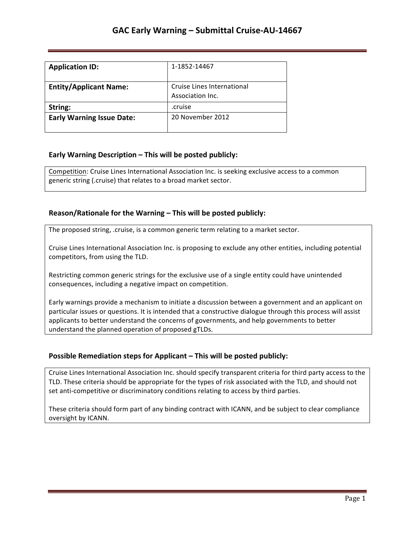| <b>Application ID:</b>           | 1-1852-14467                                   |
|----------------------------------|------------------------------------------------|
| <b>Entity/Applicant Name:</b>    | Cruise Lines International<br>Association Inc. |
| String:                          | .cruise                                        |
| <b>Early Warning Issue Date:</b> | 20 November 2012                               |

## **Early Warning Description – This will be posted publicly:**

Competition: Cruise Lines International Association Inc. is seeking exclusive access to a common generic string (.cruise) that relates to a broad market sector.

## **Reason/Rationale for the Warning – This will be posted publicly:**

The proposed string, .cruise, is a common generic term relating to a market sector.

Cruise Lines International Association Inc. is proposing to exclude any other entities, including potential competitors, from using the TLD.

Restricting common generic strings for the exclusive use of a single entity could have unintended consequences, including a negative impact on competition.

Early warnings provide a mechanism to initiate a discussion between a government and an applicant on particular issues or questions. It is intended that a constructive dialogue through this process will assist applicants to better understand the concerns of governments, and help governments to better understand the planned operation of proposed gTLDs.

### **Possible Remediation steps for Applicant – This will be posted publicly:**

Cruise Lines International Association Inc. should specify transparent criteria for third party access to the TLD. These criteria should be appropriate for the types of risk associated with the TLD, and should not set anti-competitive or discriminatory conditions relating to access by third parties.

These criteria should form part of any binding contract with ICANN, and be subject to clear compliance oversight by ICANN.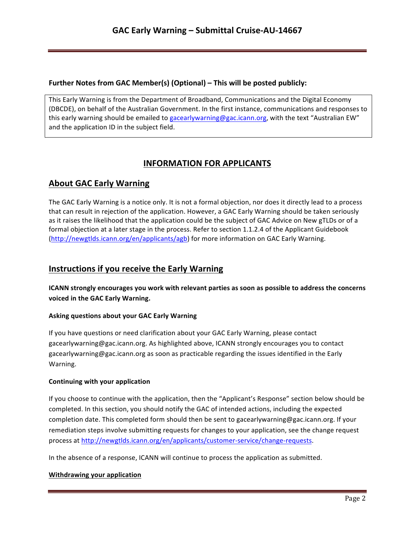## **Further Notes from GAC Member(s) (Optional) – This will be posted publicly:**

This Early Warning is from the Department of Broadband, Communications and the Digital Economy (DBCDE), on behalf of the Australian Government. In the first instance, communications and responses to this early warning should be emailed to gacearlywarning@gac.icann.org, with the text "Australian EW" and the application ID in the subject field.

# **INFORMATION FOR APPLICANTS**

# **About GAC Early Warning**

The GAC Early Warning is a notice only. It is not a formal objection, nor does it directly lead to a process that can result in rejection of the application. However, a GAC Early Warning should be taken seriously as it raises the likelihood that the application could be the subject of GAC Advice on New gTLDs or of a formal objection at a later stage in the process. Refer to section 1.1.2.4 of the Applicant Guidebook (http://newgtlds.icann.org/en/applicants/agb) for more information on GAC Early Warning.

## **Instructions if you receive the Early Warning**

**ICANN** strongly encourages you work with relevant parties as soon as possible to address the concerns voiced in the GAC Early Warning.

## **Asking questions about your GAC Early Warning**

If you have questions or need clarification about your GAC Early Warning, please contact gacearlywarning@gac.icann.org. As highlighted above, ICANN strongly encourages you to contact gacearlywarning@gac.icann.org as soon as practicable regarding the issues identified in the Early Warning. 

### **Continuing with your application**

If you choose to continue with the application, then the "Applicant's Response" section below should be completed. In this section, you should notify the GAC of intended actions, including the expected completion date. This completed form should then be sent to gacearlywarning@gac.icann.org. If your remediation steps involve submitting requests for changes to your application, see the change request process at http://newgtlds.icann.org/en/applicants/customer-service/change-requests.

In the absence of a response, ICANN will continue to process the application as submitted.

### **Withdrawing your application**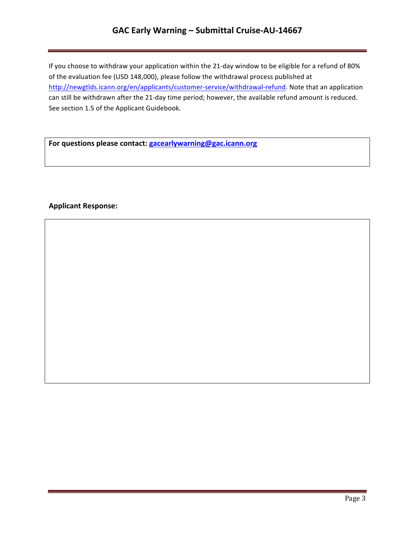## **GAC Early Warning – Submittal Cruise-AU-14667**

If you choose to withdraw your application within the 21-day window to be eligible for a refund of 80% of the evaluation fee (USD 148,000), please follow the withdrawal process published at http://newgtlds.icann.org/en/applicants/customer-service/withdrawal-refund. Note that an application can still be withdrawn after the 21-day time period; however, the available refund amount is reduced. See section 1.5 of the Applicant Guidebook.

For questions please contact: **gacearlywarning@gac.icann.org** 

### **Applicant Response:**